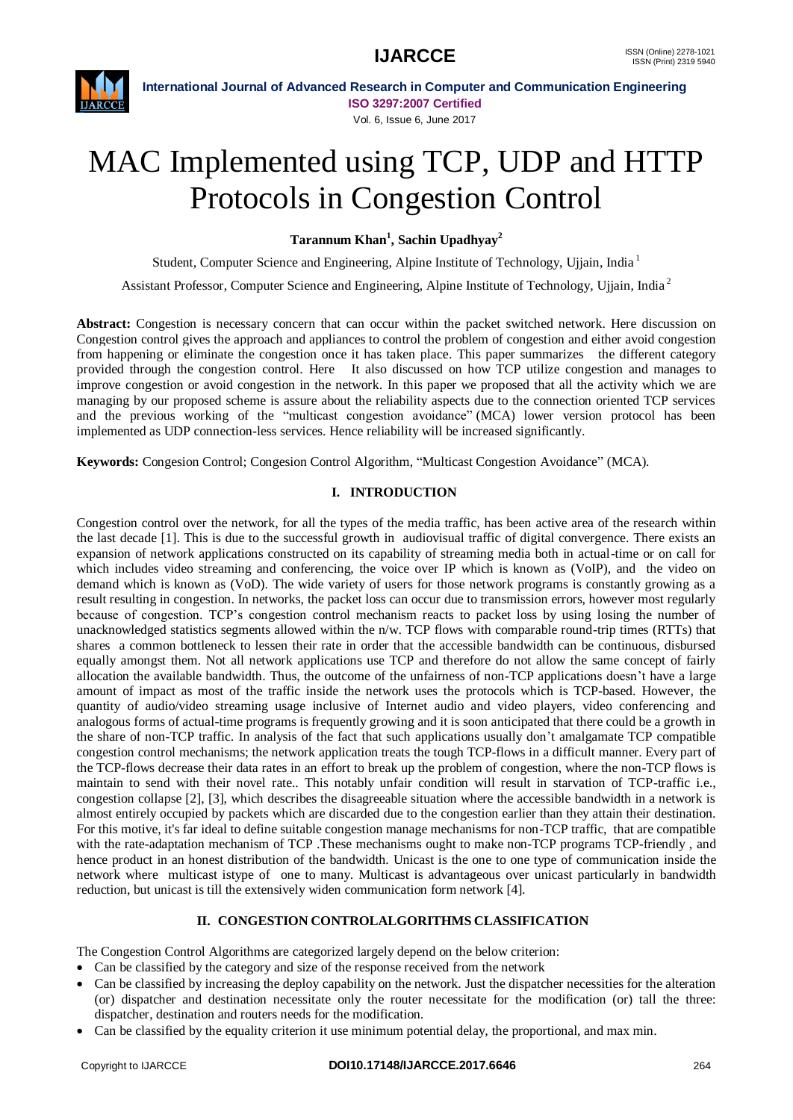

# MAC Implemented using TCP, UDP and HTTP Protocols in Congestion Control

**Tarannum Khan<sup>1</sup> , Sachin Upadhyay<sup>2</sup>**

Student, Computer Science and Engineering, Alpine Institute of Technology, Ujjain, India<sup>1</sup>

Assistant Professor, Computer Science and Engineering, Alpine Institute of Technology, Ujjain, India<sup>2</sup>

**Abstract:** Congestion is necessary concern that can occur within the packet switched network. Here discussion on Congestion control gives the approach and appliances to control the problem of congestion and either avoid congestion from happening or eliminate the congestion once it has taken place. This paper summarizes the different category provided through the congestion control. Here It also discussed on how TCP utilize congestion and manages to improve congestion or avoid congestion in the network. In this paper we proposed that all the activity which we are managing by our proposed scheme is assure about the reliability aspects due to the connection oriented TCP services and the previous working of the "multicast congestion avoidance" (MCA) lower version protocol has been implemented as UDP connection-less services. Hence reliability will be increased significantly.

**Keywords:** Congesion Control; Congesion Control Algorithm, "Multicast Congestion Avoidance" (MCA).

### **I. INTRODUCTION**

Congestion control over the network, for all the types of the media traffic, has been active area of the research within the last decade [1]. This is due to the successful growth in audiovisual traffic of digital convergence. There exists an expansion of network applications constructed on its capability of streaming media both in actual-time or on call for which includes video streaming and conferencing, the voice over IP which is known as (VoIP), and the video on demand which is known as (VoD). The wide variety of users for those network programs is constantly growing as a result resulting in congestion. In networks, the packet loss can occur due to transmission errors, however most regularly because of congestion. TCP's congestion control mechanism reacts to packet loss by using losing the number of unacknowledged statistics segments allowed within the n/w. TCP flows with comparable round-trip times (RTTs) that shares a common bottleneck to lessen their rate in order that the accessible bandwidth can be continuous, disbursed equally amongst them. Not all network applications use TCP and therefore do not allow the same concept of fairly allocation the available bandwidth. Thus, the outcome of the unfairness of non-TCP applications doesn't have a large amount of impact as most of the traffic inside the network uses the protocols which is TCP-based. However, the quantity of audio/video streaming usage inclusive of Internet audio and video players, video conferencing and analogous forms of actual-time programs is frequently growing and it is soon anticipated that there could be a growth in the share of non-TCP traffic. In analysis of the fact that such applications usually don't amalgamate TCP compatible congestion control mechanisms; the network application treats the tough TCP-flows in a difficult manner. Every part of the TCP-flows decrease their data rates in an effort to break up the problem of congestion, where the non-TCP flows is maintain to send with their novel rate.. This notably unfair condition will result in starvation of TCP-traffic i.e., congestion collapse [2], [3], which describes the disagreeable situation where the accessible bandwidth in a network is almost entirely occupied by packets which are discarded due to the congestion earlier than they attain their destination. For this motive, it's far ideal to define suitable congestion manage mechanisms for non-TCP traffic, that are compatible with the rate-adaptation mechanism of TCP .These mechanisms ought to make non-TCP programs TCP-friendly , and hence product in an honest distribution of the bandwidth. Unicast is the one to one type of communication inside the network where multicast istype of one to many. Multicast is advantageous over unicast particularly in bandwidth reduction, but unicast is till the extensively widen communication form network [4].

# **II. CONGESTION CONTROLALGORITHMS CLASSIFICATION**

The Congestion Control Algorithms are categorized largely depend on the below criterion:

- Can be classified by the category and size of the response received from the network
- Can be classified by increasing the deploy capability on the network. Just the dispatcher necessities for the alteration (or) dispatcher and destination necessitate only the router necessitate for the modification (or) tall the three: dispatcher, destination and routers needs for the modification.
- Can be classified by the equality criterion it use minimum potential delay, the proportional, and max min.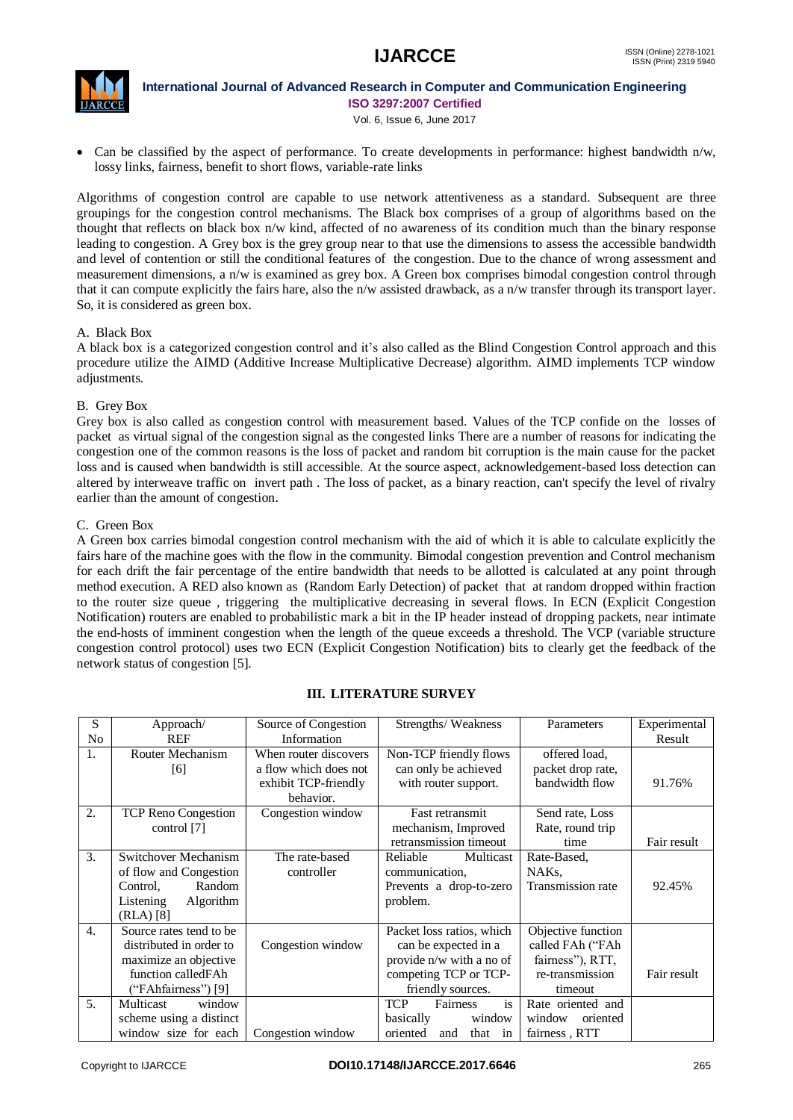

Vol. 6, Issue 6, June 2017

 Can be classified by the aspect of performance. To create developments in performance: highest bandwidth n/w, lossy links, fairness, benefit to short flows, variable-rate links

Algorithms of congestion control are capable to use network attentiveness as a standard. Subsequent are three groupings for the congestion control mechanisms. The Black box comprises of a group of algorithms based on the thought that reflects on black box n/w kind, affected of no awareness of its condition much than the binary response leading to congestion. A Grey box is the grey group near to that use the dimensions to assess the accessible bandwidth and level of contention or still the conditional features of the congestion. Due to the chance of wrong assessment and measurement dimensions, a n/w is examined as grey box. A Green box comprises bimodal congestion control through that it can compute explicitly the fairs hare, also the n/w assisted drawback, as a n/w transfer through its transport layer. So, it is considered as green box.

### A. Black Box

A black box is a categorized congestion control and it's also called as the Blind Congestion Control approach and this procedure utilize the AIMD (Additive Increase Multiplicative Decrease) algorithm. AIMD implements TCP window adjustments.

### B. Grey Box

Grey box is also called as congestion control with measurement based. Values of the TCP confide on the losses of packet as virtual signal of the congestion signal as the congested links There are a number of reasons for indicating the congestion one of the common reasons is the loss of packet and random bit corruption is the main cause for the packet loss and is caused when bandwidth is still accessible. At the source aspect, acknowledgement-based loss detection can altered by interweave traffic on invert path . The loss of packet, as a binary reaction, can't specify the level of rivalry earlier than the amount of congestion.

### C. Green Box

A Green box carries bimodal congestion control mechanism with the aid of which it is able to calculate explicitly the fairs hare of the machine goes with the flow in the community. Bimodal congestion prevention and Control mechanism for each drift the fair percentage of the entire bandwidth that needs to be allotted is calculated at any point through method execution. A RED also known as (Random Early Detection) of packet that at random dropped within fraction to the router size queue , triggering the multiplicative decreasing in several flows. In ECN (Explicit Congestion Notification) routers are enabled to probabilistic mark a bit in the IP header instead of dropping packets, near intimate the end-hosts of imminent congestion when the length of the queue exceeds a threshold. The VCP (variable structure congestion control protocol) uses two ECN (Explicit Congestion Notification) bits to clearly get the feedback of the network status of congestion [5].

| S                | Approach/                  | Source of Congestion  | Strengths/Weakness           | Parameters         | Experimental |
|------------------|----------------------------|-----------------------|------------------------------|--------------------|--------------|
| N <sub>0</sub>   | REF                        | Information           |                              |                    | Result       |
| 1.               | <b>Router Mechanism</b>    | When router discovers | Non-TCP friendly flows       | offered load,      |              |
|                  | [6]                        | a flow which does not | can only be achieved         | packet drop rate,  |              |
|                  |                            | exhibit TCP-friendly  | with router support.         | bandwidth flow     | 91.76%       |
|                  |                            | behavior.             |                              |                    |              |
| 2.               | <b>TCP Reno Congestion</b> | Congestion window     | Fast retransmit              | Send rate, Loss    |              |
|                  | control [7]                |                       | mechanism, Improved          | Rate, round trip   |              |
|                  |                            |                       | retransmission timeout       | time               | Fair result  |
| 3.               | Switchover Mechanism       | The rate-based        | Multicast<br>Reliable        | Rate-Based,        |              |
|                  | of flow and Congestion     | controller            | communication,               | NAKs,              |              |
|                  | Random<br>Control.         |                       | Prevents a drop-to-zero      | Transmission rate  | 92.45%       |
|                  | Algorithm<br>Listening     |                       | problem.                     |                    |              |
|                  | (RLA) [8]                  |                       |                              |                    |              |
| $\overline{4}$ . | Source rates tend to be    |                       | Packet loss ratios, which    | Objective function |              |
|                  | distributed in order to    | Congestion window     | can be expected in a         | called FAh ("FAh   |              |
|                  | maximize an objective      |                       | provide n/w with a no of     | fairness"), RTT,   |              |
|                  | function calledFAh         |                       | competing TCP or TCP-        | re-transmission    | Fair result  |
|                  | ("FAhfairness") [9]        |                       | friendly sources.            | timeout            |              |
| 5.               | Multicast<br>window        |                       | is<br><b>TCP</b><br>Fairness | Rate oriented and  |              |
|                  | scheme using a distinct    |                       | basically<br>window          | window<br>oriented |              |
|                  | window size for each       | Congestion window     | oriented<br>that in<br>and   | fairness, RTT      |              |

# **III. LITERATURE SURVEY**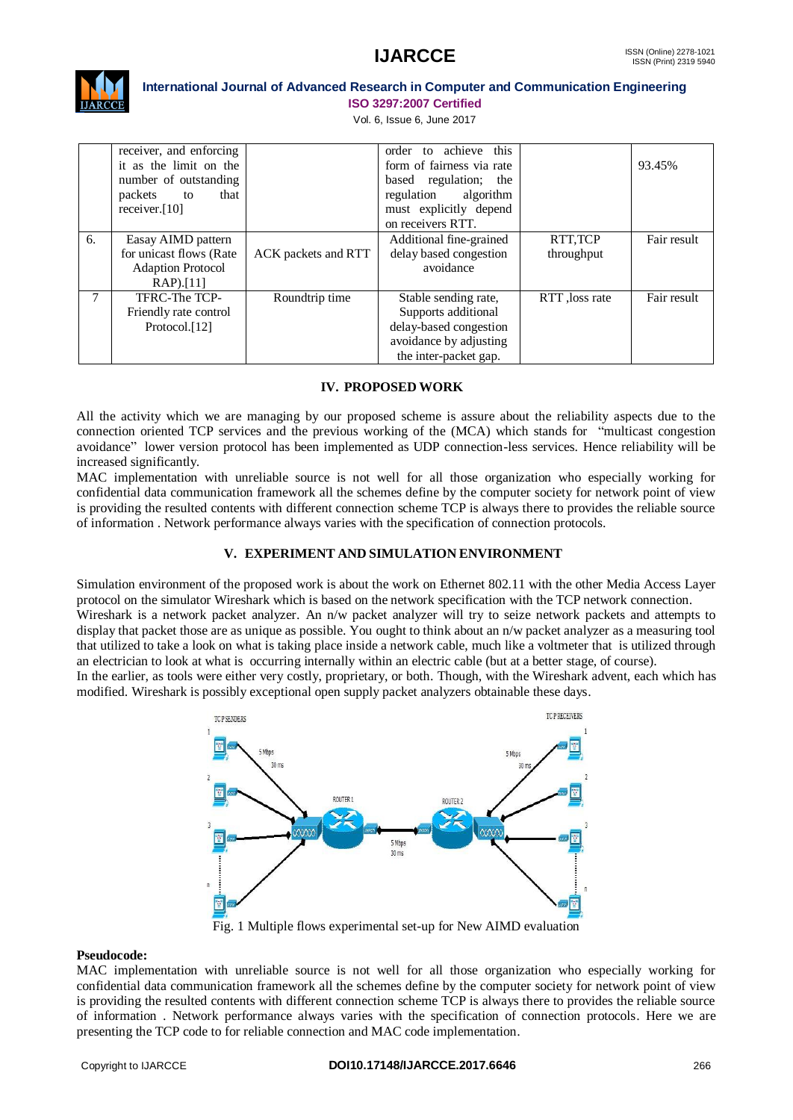

Vol. 6, Issue 6, June 2017

|    | receiver, and enforcing<br>it as the limit on the<br>number of outstanding<br>packets<br>that<br>to<br>receiver. $[10]$ |                     | order to achieve<br>this<br>form of fairness via rate<br>based regulation; the<br>regulation algorithm<br>must explicitly depend<br>on receivers RTT. |                        | 93.45%      |
|----|-------------------------------------------------------------------------------------------------------------------------|---------------------|-------------------------------------------------------------------------------------------------------------------------------------------------------|------------------------|-------------|
| 6. | Easay AIMD pattern<br>for unicast flows (Rate<br><b>Adaption Protocol</b><br>$RAP$ ).[11]                               | ACK packets and RTT | Additional fine-grained<br>delay based congestion<br>avoidance                                                                                        | RTT, TCP<br>throughput | Fair result |
| 7  | TFRC-The TCP-<br>Friendly rate control<br>Protocol. <sup>[12]</sup>                                                     | Roundtrip time      | Stable sending rate,<br>Supports additional<br>delay-based congestion<br>avoidance by adjusting<br>the inter-packet gap.                              | RTT, loss rate         | Fair result |

### **IV. PROPOSED WORK**

All the activity which we are managing by our proposed scheme is assure about the reliability aspects due to the connection oriented TCP services and the previous working of the (MCA) which stands for "multicast congestion avoidance" lower version protocol has been implemented as UDP connection-less services. Hence reliability will be increased significantly.

MAC implementation with unreliable source is not well for all those organization who especially working for confidential data communication framework all the schemes define by the computer society for network point of view is providing the resulted contents with different connection scheme TCP is always there to provides the reliable source of information . Network performance always varies with the specification of connection protocols.

# **V. EXPERIMENT AND SIMULATION ENVIRONMENT**

Simulation environment of the proposed work is about the work on Ethernet 802.11 with the other Media Access Layer protocol on the simulator Wireshark which is based on the network specification with the TCP network connection. Wireshark is a network packet analyzer. An n/w packet analyzer will try to seize network packets and attempts to display that packet those are as unique as possible. You ought to think about an n/w packet analyzer as a measuring tool that utilized to take a look on what is taking place inside a network cable, much like a voltmeter that is utilized through

an electrician to look at what is occurring internally within an electric cable (but at a better stage, of course). In the earlier, as tools were either very costly, proprietary, or both. Though, with the Wireshark advent, each which has modified. Wireshark is possibly exceptional open supply packet analyzers obtainable these days.



Fig. 1 Multiple flows experimental set-up for New AIMD evaluation

# **Pseudocode:**

MAC implementation with unreliable source is not well for all those organization who especially working for confidential data communication framework all the schemes define by the computer society for network point of view is providing the resulted contents with different connection scheme TCP is always there to provides the reliable source of information . Network performance always varies with the specification of connection protocols. Here we are presenting the TCP code to for reliable connection and MAC code implementation.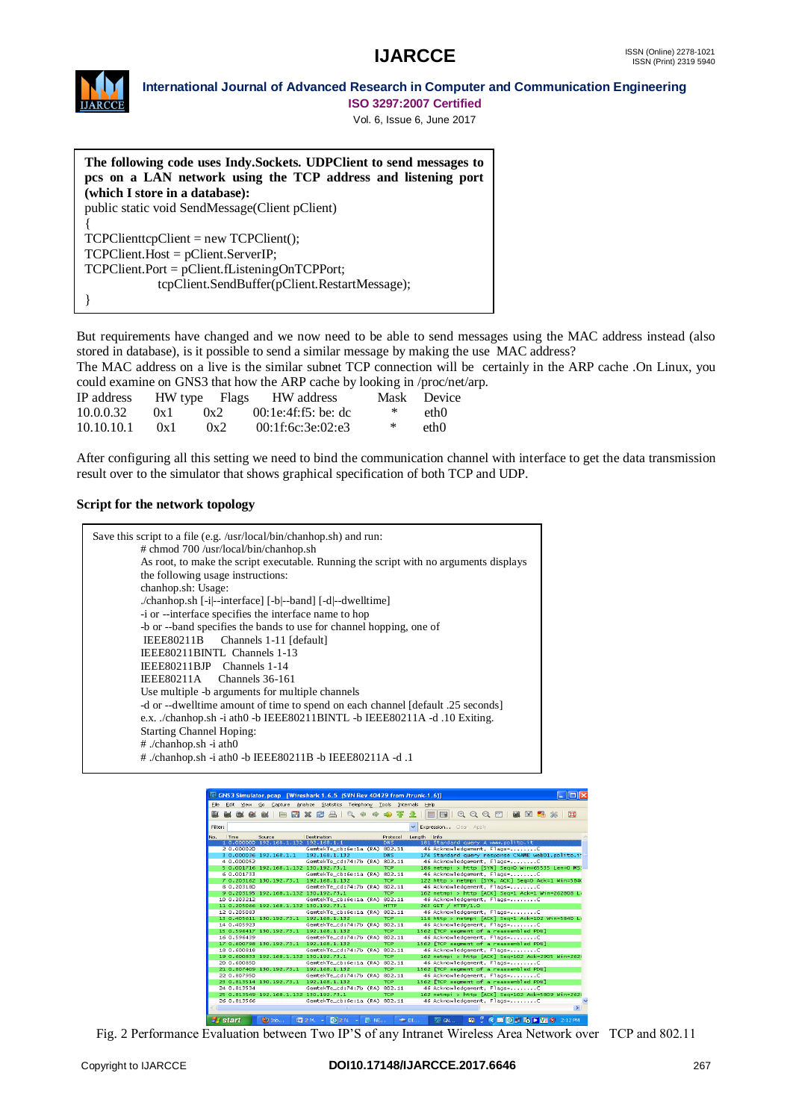

# **International Journal of Advanced Research in Computer and Communication Engineering**

**ISO 3297:2007 Certified**

Vol. 6, Issue 6, June 2017

**The following code uses Indy.Sockets. UDPClient to send messages to pcs on a LAN network using the TCP address and listening port (which I store in a database):** public static void SendMessage(Client pClient) { TCPClienttcpClient = new TCPClient(); TCPClient.Host = pClient.ServerIP; TCPClient.Port = pClient.fListeningOnTCPPort; tcpClient.SendBuffer(pClient.RestartMessage); }

But requirements have changed and we now need to be able to send messages using the MAC address instead (also stored in database), is it possible to send a similar message by making the use MAC address?

The MAC address on a live is the similar subnet TCP connection will be certainly in the ARP cache .On Linux, you could examine on GNS3 that how the ARP cache by looking in /proc/net/arp.

| IP address |         |     | HW type Flags HW address |   | Mask Device |
|------------|---------|-----|--------------------------|---|-------------|
| 10.0.0.32  | $(x_1)$ | 0x2 | $00:1e:4f:55$ : be: dc   | ∗ | eth()       |
| 10.10.10.1 | 0x1     | 0x2 | 00:1f:6c:3e:02:e3        | ∗ | eth()       |

After configuring all this setting we need to bind the communication channel with interface to get the data transmission result over to the simulator that shows graphical specification of both TCP and UDP.

### **Script for the network topology**

| Save this script to a file (e.g. /usr/local/bin/chanhop.sh) and run:                  |
|---------------------------------------------------------------------------------------|
| # chmod 700 /usr/local/bin/chanhop.sh                                                 |
| As root, to make the script executable. Running the script with no arguments displays |
| the following usage instructions:                                                     |
| chanhop.sh: Usage:                                                                    |
| ./chanhop.sh [-i --interface] [-b --band] [-d --dwelltime]                            |
| -i or --interface specifies the interface name to hop                                 |
| -b or --band specifies the bands to use for channel hopping, one of                   |
| IEEE80211B Channels 1-11 [default]                                                    |
| IEEE80211BINTL Channels 1-13                                                          |
| IEEE80211BJP Channels 1-14                                                            |
| IEEE $80211A$ Channels $36-161$                                                       |
| Use multiple -b arguments for multiple channels                                       |
| -d or --dwelltime amount of time to spend on each channel [default .25 seconds]       |
| e.x. ./chanhop.sh -i ath0 -b IEEE80211BINTL -b IEEE80211A -d .10 Exiting.             |
| <b>Starting Channel Hoping:</b>                                                       |
| $#$ ./chanhop.sh -i ath0                                                              |
| # ./chanhop.sh -i ath0 -b IEEE80211B -b IEEE80211A -d .1                              |
|                                                                                       |

| GNS3 Simulator.pcap [Wireshark 1.6.5 (SVN Rev 40429 from /trunk-1.6)] |                     |                                        |                                             |              |                |                   |                                    |                                                                                                                                                                                                                                                                                                                                                                                                                                                                                          |               |
|-----------------------------------------------------------------------|---------------------|----------------------------------------|---------------------------------------------|--------------|----------------|-------------------|------------------------------------|------------------------------------------------------------------------------------------------------------------------------------------------------------------------------------------------------------------------------------------------------------------------------------------------------------------------------------------------------------------------------------------------------------------------------------------------------------------------------------------|---------------|
| File                                                                  | Edit<br><b>View</b> | Go<br>Capture                          | Analyze Statistics Telephony Tools          |              |                | Internals<br>Help |                                    |                                                                                                                                                                                                                                                                                                                                                                                                                                                                                          |               |
| ær                                                                    |                     |                                        | 7 x 2 a<br>$Q_2 = 4\pi$                     | <b>silip</b> | 幂<br><b>SD</b> | $\equiv$          | $\mathbb{R}$                       | $@Q@E \quad @B \quad @B \quad \text{M} \quad \text{M} \quad \text{M} \quad \text{M} \quad \text{M} \quad \text{M} \quad \text{M} \quad \text{M} \quad \text{M} \quad \text{M} \quad \text{M} \quad \text{M} \quad \text{M} \quad \text{M} \quad \text{M} \quad \text{M} \quad \text{M} \quad \text{M} \quad \text{M} \quad \text{M} \quad \text{M} \quad \text{M} \quad \text{M} \quad \text{M} \quad \text{M} \quad \text{M} \quad \text{M} \quad \text{M} \quad \text{M} \quad \text{$ | ∣ 1⊐0         |
| Filter:                                                               |                     |                                        |                                             |              |                |                   | Expression Clear Apply             |                                                                                                                                                                                                                                                                                                                                                                                                                                                                                          |               |
| No.                                                                   | Time                | Source                                 | Destination                                 |              | Protocol       | Length Info       |                                    |                                                                                                                                                                                                                                                                                                                                                                                                                                                                                          |               |
|                                                                       |                     | 1 0.000000 192.168.1.132 192.168.1.1   |                                             |              | <b>DNS</b>     |                   | 181 Standard query A www.polito.it |                                                                                                                                                                                                                                                                                                                                                                                                                                                                                          |               |
|                                                                       | 2 0.000020          |                                        | GemtekTe_cb:6e:1a (RA) 802.11               |              |                |                   | 46 Acknowledgement, Flags=C        |                                                                                                                                                                                                                                                                                                                                                                                                                                                                                          |               |
|                                                                       |                     | 3 0.000036 192.168.1.1                 | 192.168.1.132                               |              | DNS            |                   |                                    | 174 Standard query response CNAME web01.polito.i                                                                                                                                                                                                                                                                                                                                                                                                                                         |               |
|                                                                       | 4 0.000052          |                                        | GemtekTe cd:74:7b (RA) 802.11               |              |                |                   | 46 Acknowledgement, Flags=C        |                                                                                                                                                                                                                                                                                                                                                                                                                                                                                          |               |
|                                                                       |                     | 5 0.001716 192.168.1.132 130.192.73.1  |                                             |              | <b>TCP</b>     |                   |                                    | 186 netmpi > http [SYN] Seg=0 Win=65535 Len=0 MS:                                                                                                                                                                                                                                                                                                                                                                                                                                        |               |
|                                                                       | 6 0.001733          |                                        | GemtekTe_cb:6e:1a (RA) 802.11               |              |                |                   | 46 Acknowledgement, Flags=C        |                                                                                                                                                                                                                                                                                                                                                                                                                                                                                          |               |
|                                                                       |                     | 7 0.203162 130.192.73.1                | 192.168.1.132                               |              | <b>TCP</b>     |                   |                                    | 122 http > netmpi [SYN, ACK] Seq=0 Ack=1 Win=5840                                                                                                                                                                                                                                                                                                                                                                                                                                        |               |
|                                                                       | 8 0.203180          |                                        | GemtekTe cd:74:7b (RA) 802.11               |              |                |                   | 46 Acknowledgement, Flags-C        |                                                                                                                                                                                                                                                                                                                                                                                                                                                                                          |               |
|                                                                       |                     | 9 0.203195 192.168.1.132 130.192.73.1  |                                             |              | <b>TCP</b>     |                   |                                    | 162 netmpi > http [ACK] Seg=1 Ack=1 Win=262808 Li                                                                                                                                                                                                                                                                                                                                                                                                                                        |               |
|                                                                       | 10 0.203212         |                                        | GemtekTe_cb:6e:1a (RA) 802.11               |              |                |                   | 46 Acknowledgement, Flags=C        |                                                                                                                                                                                                                                                                                                                                                                                                                                                                                          |               |
|                                                                       |                     | 11 0.205066 192.168.1.132 130.192.73.1 |                                             |              | <b>HTTP</b>    |                   | 263 GET / HTTP/1.0                 |                                                                                                                                                                                                                                                                                                                                                                                                                                                                                          |               |
|                                                                       | 12 0.205083         |                                        | GemtekTe_cb:6e:1a (RA) 802.11               |              |                |                   | 46 Acknowledgement, Flags=C        |                                                                                                                                                                                                                                                                                                                                                                                                                                                                                          |               |
|                                                                       |                     | 13 0.405611 130.192.73.1               | 192.168.1.132                               |              | <b>TCP</b>     |                   |                                    | 116 http > netmpi [ACK] Seg=1 Ack=102 Win=5840 Li                                                                                                                                                                                                                                                                                                                                                                                                                                        |               |
|                                                                       | 14 0.405923         |                                        | GemtekTe cd:74:7b (RA) 802.11               |              |                |                   | 46 Acknowledgement, Flags=C        |                                                                                                                                                                                                                                                                                                                                                                                                                                                                                          |               |
|                                                                       |                     | 15 0.596417 130.192.73.1               | 192.168.1.132                               |              | <b>TCP</b>     |                   |                                    | 1562 FTCP segment of a reassembled PDUT                                                                                                                                                                                                                                                                                                                                                                                                                                                  |               |
|                                                                       | 16 0.596439         |                                        | GemtekTe_cd:74:7b (RA) 802.11               |              |                |                   | 46 Acknowledgement, Flags=C        |                                                                                                                                                                                                                                                                                                                                                                                                                                                                                          |               |
|                                                                       |                     | 17 0.600798 130.192.73.1               | 192.168.1.132                               |              | <b>TCP</b>     |                   |                                    | 1562 [TCP segment of a reassembled PDU]                                                                                                                                                                                                                                                                                                                                                                                                                                                  |               |
|                                                                       | 18 0.600818         |                                        | GemtekTe_cd:74:7b (RA) 802.11               |              |                |                   | 46 Acknowledgement, Flags-C        |                                                                                                                                                                                                                                                                                                                                                                                                                                                                                          |               |
|                                                                       |                     | 19 0.600833 192.168.1.132 130.192.73.1 |                                             |              | <b>TCP</b>     |                   |                                    | 162 netmpi > http [ACK] Seg=102 Ack=2905 Win=262)                                                                                                                                                                                                                                                                                                                                                                                                                                        |               |
|                                                                       | 20 0.600850         |                                        | GemtekTe cb:6e:1a (RA) 802.11               |              |                |                   | 46 Acknowledgement, Flags=C        |                                                                                                                                                                                                                                                                                                                                                                                                                                                                                          |               |
|                                                                       |                     | 21 0.807409 130.192.73.1               | 192.168.1.132                               |              | <b>TCP</b>     |                   |                                    | 1562 FTCP segment of a reassembled PDUT                                                                                                                                                                                                                                                                                                                                                                                                                                                  |               |
|                                                                       | 22 0.807950         |                                        | GemtekTe_cd:74:7b (RA) 802.11               |              |                |                   | 46 Acknowledgement, Flags=C        |                                                                                                                                                                                                                                                                                                                                                                                                                                                                                          |               |
|                                                                       |                     | 23 0.813514 130.192.73.1               | 192.168.1.132                               |              | <b>TCP</b>     |                   |                                    | 1562 FTCP segment of a reassembled PDUT                                                                                                                                                                                                                                                                                                                                                                                                                                                  |               |
|                                                                       | 24 0.813534         |                                        | GemtekTe cd:74:7b (RA) 802.11               |              |                |                   | 46 Acknowledgement, Flags=C        |                                                                                                                                                                                                                                                                                                                                                                                                                                                                                          |               |
|                                                                       |                     | 25 0.813549 192.168.1.132 130.192.73.1 |                                             |              | <b>TCP</b>     |                   |                                    | 162 netmpi > http [ACK] Seg=102 Ack=5809 Win=262                                                                                                                                                                                                                                                                                                                                                                                                                                         |               |
|                                                                       | 26 0.813566         |                                        | GemtekTe_cb:6e:1a (RA) 802.11               |              |                |                   | 46 Acknowledgement, Flags=C        |                                                                                                                                                                                                                                                                                                                                                                                                                                                                                          |               |
|                                                                       |                     |                                        |                                             |              |                |                   |                                    |                                                                                                                                                                                                                                                                                                                                                                                                                                                                                          | $\rightarrow$ |
|                                                                       | <b>B</b> start      | $\sum$ Inb                             | $\left[\frac{1}{2}\right]$ 2 N.<br>图 2 M. × | <b>NE</b>    |                | ette DI           | $\sqrt{d}$ GN<br>n                 | ← 略 的 】 読 ▶ 四 ウ                                                                                                                                                                                                                                                                                                                                                                                                                                                                          | 2:12 PM       |

Fig. 2 Performance Evaluation between Two IP'S of any Intranet Wireless Area Network over TCP and 802.11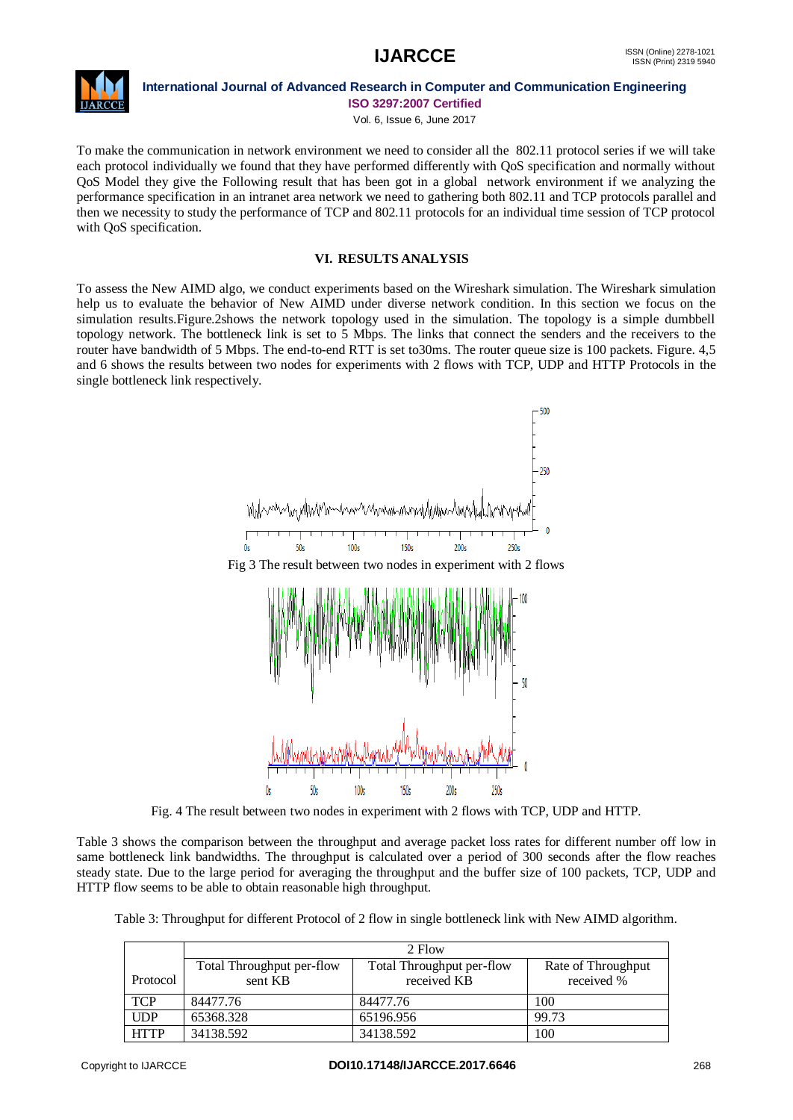

Vol. 6, Issue 6, June 2017

To make the communication in network environment we need to consider all the 802.11 protocol series if we will take each protocol individually we found that they have performed differently with QoS specification and normally without QoS Model they give the Following result that has been got in a global network environment if we analyzing the performance specification in an intranet area network we need to gathering both 802.11 and TCP protocols parallel and then we necessity to study the performance of TCP and 802.11 protocols for an individual time session of TCP protocol with QoS specification.

## **VI. RESULTS ANALYSIS**

To assess the New AIMD algo, we conduct experiments based on the Wireshark simulation. The Wireshark simulation help us to evaluate the behavior of New AIMD under diverse network condition. In this section we focus on the simulation results.Figure.2shows the network topology used in the simulation. The topology is a simple dumbbell topology network. The bottleneck link is set to 5 Mbps. The links that connect the senders and the receivers to the router have bandwidth of 5 Mbps. The end-to-end RTT is set to30ms. The router queue size is 100 packets. Figure. 4,5 and 6 shows the results between two nodes for experiments with 2 flows with TCP, UDP and HTTP Protocols in the single bottleneck link respectively.



Fig. 4 The result between two nodes in experiment with 2 flows with TCP, UDP and HTTP.

Table 3 shows the comparison between the throughput and average packet loss rates for different number off low in same bottleneck link bandwidths. The throughput is calculated over a period of 300 seconds after the flow reaches steady state. Due to the large period for averaging the throughput and the buffer size of 100 packets, TCP, UDP and HTTP flow seems to be able to obtain reasonable high throughput.

Table 3: Throughput for different Protocol of 2 flow in single bottleneck link with New AIMD algorithm.

|             | 2 Flow                               |                                          |                                  |  |  |  |  |  |
|-------------|--------------------------------------|------------------------------------------|----------------------------------|--|--|--|--|--|
| Protocol    | Total Throughput per-flow<br>sent KB | Total Throughput per-flow<br>received KB | Rate of Throughput<br>received % |  |  |  |  |  |
|             |                                      |                                          |                                  |  |  |  |  |  |
| <b>TCP</b>  | 84477.76                             | 84477.76                                 | 100                              |  |  |  |  |  |
| <b>UDP</b>  | 65368.328                            | 65196.956                                | 99.73                            |  |  |  |  |  |
| <b>HTTP</b> | 34138.592                            | 34138.592                                | 100                              |  |  |  |  |  |